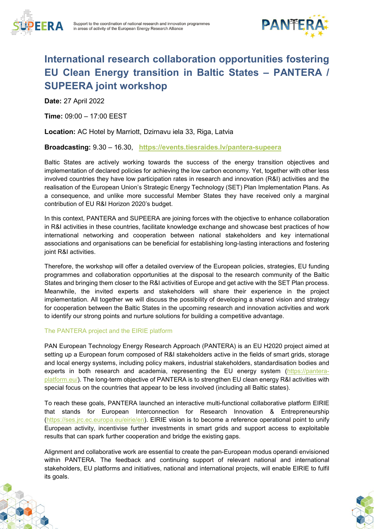



# **International research collaboration opportunities fostering EU Clean Energy transition in Baltic States – PANTERA / SUPEERA joint workshop**

**Date:** 27 April 2022

**Time:** 09:00 – 17:00 EEST

**Location:** AC Hotel by Marriott, Dzirnavu iela 33, Riga, Latvia

**Broadcasting:** 9.30 – 16.30, **<https://events.tiesraides.lv/pantera-supeera>**

Baltic States are actively working towards the success of the energy transition objectives and implementation of declared policies for achieving the low carbon economy. Yet, together with other less involved countries they have low participation rates in research and innovation (R&I) activities and the realisation of the European Union's Strategic Energy Technology (SET) Plan Implementation Plans. As a consequence, and unlike more successful Member States they have received only a marginal contribution of EU R&I Horizon 2020's budget.

In this context, PANTERA and SUPEERA are joining forces with the objective to enhance collaboration in R&I activities in these countries, facilitate knowledge exchange and showcase best practices of how international networking and cooperation between national stakeholders and key international associations and organisations can be beneficial for establishing long-lasting interactions and fostering joint R&I activities.

Therefore, the workshop will offer a detailed overview of the European policies, strategies, EU funding programmes and collaboration opportunities at the disposal to the research community of the Baltic States and bringing them closer to the R&I activities of Europe and get active with the SET Plan process. Meanwhile, the invited experts and stakeholders will share their experience in the project implementation. All together we will discuss the possibility of developing a shared vision and strategy for cooperation between the Baltic States in the upcoming research and innovation activities and work to identify our strong points and nurture solutions for building a competitive advantage.

#### The PANTERA project and the EIRIE platform

PAN European Technology Energy Research Approach (PANTERA) is an EU H2020 project aimed at setting up a European forum composed of R&I stakeholders active in the fields of smart grids, storage and local energy systems, including policy makers, industrial stakeholders, standardisation bodies and experts in both research and academia, representing the EU energy system [\(https://pantera](https://pantera-platform.eu/)[platform.eu/\)](https://pantera-platform.eu/). The long-term objective of PANTERA is to strengthen EU clean energy R&I activities with special focus on the countries that appear to be less involved (including all Baltic states).

To reach these goals, PANTERA launched an interactive multi-functional collaborative platform EIRIE that stands for European Interconnection for Research Innovation & Entrepreneurship [\(https://ses.jrc.ec.europa.eu/eirie/en\)](https://ses.jrc.ec.europa.eu/eirie/en). EIRIE vision is to become a reference operational point to unify European activity, incentivise further investments in smart grids and support access to exploitable results that can spark further cooperation and bridge the existing gaps.

Alignment and collaborative work are essential to create the pan-European modus operandi envisioned within PANTERA. The feedback and continuing support of relevant national and international stakeholders, EU platforms and initiatives, national and international projects, will enable EIRIE to fulfil its goals.

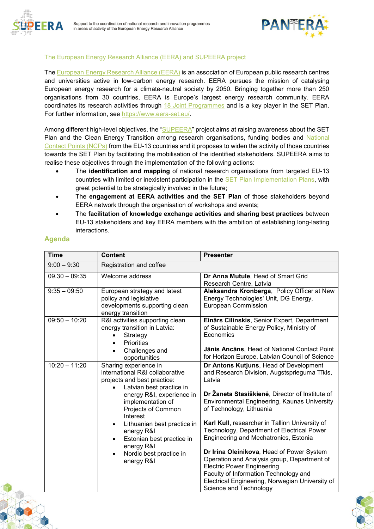



### The European Energy Research Alliance (EERA) and SUPEERA project

The **European Energy Research Alliance (EERA)** is an association of European public research centres and universities active in low-carbon energy research. EERA pursues the mission of catalysing European energy research for a climate-neutral society by 2050. Bringing together more than 250 organisations from 30 countries, EERA is Europe's largest energy research community. EERA coordinates its research activities through [18 Joint Programmes](https://www.eera-set.eu/research/joint-programmes.html) and is a key player in the SET Plan. For further information, see [https://www.eera-set.eu/.](https://www.eera-set.eu/)

Among different high-level objectives, the ["SUPEERA"](http://www.supeera.eu/) project aims at raising awareness about the SET Plan and the Clean Energy Transition among research organisations, funding bodies and [National](https://erc.europa.eu/ncp#:%7E:text=National%20Contact%20Points%20(NCPs)%20are,in%20some%20non%2DEuropean%20countries.)  [Contact Points \(NCPs\)](https://erc.europa.eu/ncp#:%7E:text=National%20Contact%20Points%20(NCPs)%20are,in%20some%20non%2DEuropean%20countries.) from the EU-13 countries and it proposes to widen the activity of those countries towards the SET Plan by facilitating the mobilisation of the identified stakeholders. SUPEERA aims to realise these objectives through the implementation of the following actions:

- The **identification and mapping** of national research organisations from targeted EU-13 countries with limited or inexistent participation in the **SET Plan Implementation Plans**, with great potential to be strategically involved in the future;
- The **engagement at EERA activities and the SET Plan** of those stakeholders beyond EERA network through the organisation of workshops and events;
- The **facilitation of knowledge exchange activities and sharing best practices** between EU-13 stakeholders and key EERA members with the ambition of establishing long-lasting interactions.

| <b>Time</b>     | <b>Content</b>                                                                                                                                                                                                                                                                                                                                        | <b>Presenter</b>                                                                                                                                                                                                                                                                                                                                                                                                                                                                                                                                                                                                                |
|-----------------|-------------------------------------------------------------------------------------------------------------------------------------------------------------------------------------------------------------------------------------------------------------------------------------------------------------------------------------------------------|---------------------------------------------------------------------------------------------------------------------------------------------------------------------------------------------------------------------------------------------------------------------------------------------------------------------------------------------------------------------------------------------------------------------------------------------------------------------------------------------------------------------------------------------------------------------------------------------------------------------------------|
| $9:00 - 9:30$   | Registration and coffee                                                                                                                                                                                                                                                                                                                               |                                                                                                                                                                                                                                                                                                                                                                                                                                                                                                                                                                                                                                 |
| $09.30 - 09:35$ | Welcome address                                                                                                                                                                                                                                                                                                                                       | Dr Anna Mutule, Head of Smart Grid<br>Research Centre, Latvia                                                                                                                                                                                                                                                                                                                                                                                                                                                                                                                                                                   |
| $9:35 - 09:50$  | European strategy and latest<br>policy and legislative<br>developments supporting clean<br>energy transition                                                                                                                                                                                                                                          | Aleksandra Kronberga, Policy Officer at New<br>Energy Technologies' Unit, DG Energy,<br><b>European Commission</b>                                                                                                                                                                                                                                                                                                                                                                                                                                                                                                              |
| $09:50 - 10:20$ | R&I activities supporting clean<br>energy transition in Latvia:<br>Strategy<br>Priorities<br>Challenges and<br>opportunities                                                                                                                                                                                                                          | Einārs Cilinskis, Senior Expert, Department<br>of Sustainable Energy Policy, Ministry of<br>Economics<br>Jānis Ancāns, Head of National Contact Point<br>for Horizon Europe, Latvian Council of Science                                                                                                                                                                                                                                                                                                                                                                                                                         |
| $10:20 - 11:20$ | Sharing experience in<br>international R&I collaborative<br>projects and best practice:<br>Latvian best practice in<br>energy R&I, experience in<br>implementation of<br>Projects of Common<br>Interest<br>Lithuanian best practice in<br>$\bullet$<br>energy R&I<br>Estonian best practice in<br>energy R&I<br>Nordic best practice in<br>energy R&I | Dr Antons Kutjuns, Head of Development<br>and Research Division, Augstsprieguma Tīkls,<br>Latvia<br>Dr Žaneta Stasiškienė, Director of Institute of<br>Environmental Engineering, Kaunas University<br>of Technology, Lithuania<br>Karl Kull, researcher in Tallinn University of<br>Technology, Department of Electrical Power<br>Engineering and Mechatronics, Estonia<br>Dr Irina Oleinikova, Head of Power System<br>Operation and Analysis group, Department of<br><b>Electric Power Engineering</b><br>Faculty of Information Technology and<br>Electrical Engineering, Norwegian University of<br>Science and Technology |

## **Agenda**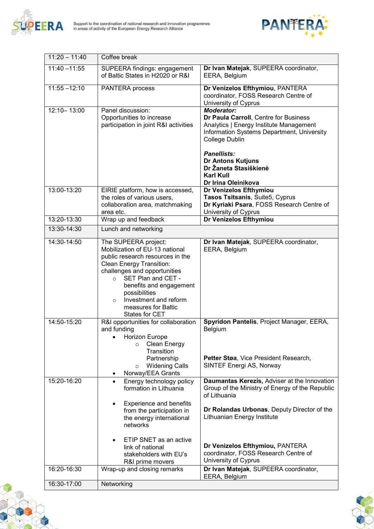



| $11:20 - 11:40$            | Coffee break                                                                                                                                                                                                                                                                                                            |                                                                                                                                                                                                                                                                                             |
|----------------------------|-------------------------------------------------------------------------------------------------------------------------------------------------------------------------------------------------------------------------------------------------------------------------------------------------------------------------|---------------------------------------------------------------------------------------------------------------------------------------------------------------------------------------------------------------------------------------------------------------------------------------------|
| $11:40 - 11:55$            | SUPEERA findings: engagement<br>of Baltic States in H2020 or R&I                                                                                                                                                                                                                                                        | Dr Ivan Matejak, SUPEERA coordinator,<br>EERA, Belgium                                                                                                                                                                                                                                      |
| $11:55 - 12:10$            | PANTERA process                                                                                                                                                                                                                                                                                                         | Dr Venizelos Efthymiou, PANTERA<br>coordinator, FOSS Research Centre of<br>University of Cyprus                                                                                                                                                                                             |
| 12:10-13:00                | Panel discussion:<br>Opportunities to increase<br>participation in joint R&I activities                                                                                                                                                                                                                                 | <b>Moderator:</b><br>Dr Paula Carroll, Centre for Business<br>Analytics   Energy Institute Management<br>Information Systems Department, University<br>College Dublin<br><b>Panellists:</b><br><b>Dr Antons Kutjuns</b><br>Dr Žaneta Stasiškienė<br><b>Karl Kull</b><br>Dr Irina Oleinikova |
| 13:00-13:20                | EIRIE platform, how is accessed,<br>the roles of various users,<br>collaboration area, matchmaking<br>area etc.                                                                                                                                                                                                         | Dr Venizelos Efthymiou<br>Tasos Tsitsanis, Suite5, Cyprus<br>Dr Kyriaki Psara, FOSS Research Centre of<br>University of Cyprus                                                                                                                                                              |
| 13:20-13:30                | Wrap up and feedback                                                                                                                                                                                                                                                                                                    | Dr Venizelos Efthymiou                                                                                                                                                                                                                                                                      |
| 13:30-14:30                | Lunch and networking                                                                                                                                                                                                                                                                                                    |                                                                                                                                                                                                                                                                                             |
| 14:30-14:50                | The SUPEERA project:<br>Mobilization of EU-13 national<br>public research resources in the<br><b>Clean Energy Transition:</b><br>challenges and opportunities<br>SET Plan and CET -<br>$\circ$<br>benefits and engagement<br>possibilities<br>Investment and reform<br>$\circ$<br>measures for Baltic<br>States for CET | Dr Ivan Matejak, SUPEERA coordinator,<br>EERA, Belgium                                                                                                                                                                                                                                      |
| 14:50-15:20<br>15:20-16:20 | R&I opportunities for collaboration<br>and funding<br>Horizon Europe<br>$\bullet$<br>Clean Energy<br>$\circ$<br>Transition<br>Partnership<br><b>Widening Calls</b><br>$\circ$<br>Norway/EEA Grants<br>$\bullet$<br>Energy technology policy<br>$\bullet$                                                                | Spyridon Pantelis, Project Manager, EERA,<br>Belgium<br>Petter Støa, Vice President Research,<br><b>SINTEF Energi AS, Norway</b><br>Daumantas Kerezis, Adviser at the Innovation                                                                                                            |
|                            | formation in Lithuania<br><b>Experience and benefits</b><br>$\bullet$<br>from the participation in<br>the energy international<br>networks<br>ETIP SNET as an active<br>$\bullet$<br>link of national<br>stakeholders with EU's<br>R&I prime movers                                                                     | Group of the Ministry of Energy of the Republic<br>of Lithuania<br>Dr Rolandas Urbonas, Deputy Director of the<br>Lithuanian Energy Institute<br>Dr Venizelos Efthymiou, PANTERA<br>coordinator, FOSS Research Centre of<br>University of Cyprus                                            |
| 16:20-16:30                | Wrap-up and closing remarks                                                                                                                                                                                                                                                                                             | Dr Ivan Matejak, SUPEERA coordinator,                                                                                                                                                                                                                                                       |
| 16:30-17:00                | Networking                                                                                                                                                                                                                                                                                                              | EERA, Belgium                                                                                                                                                                                                                                                                               |